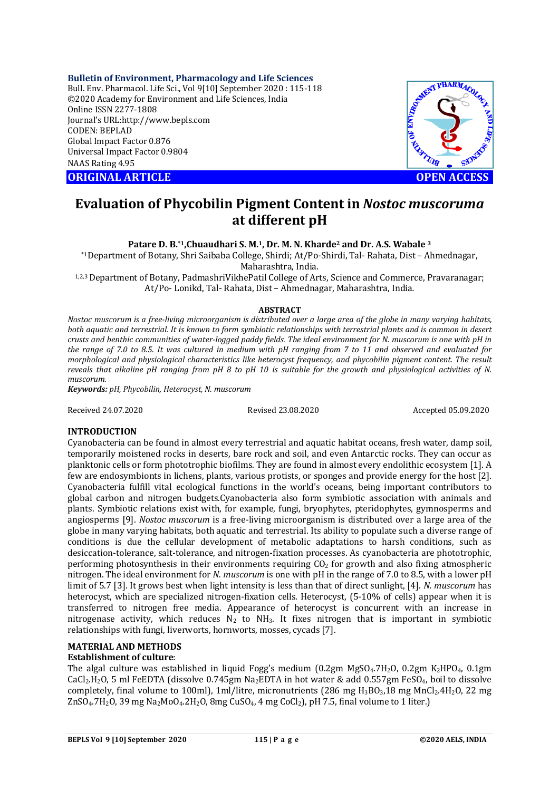### **Bulletin of Environment, Pharmacology and Life Sciences**

Bull. Env. Pharmacol. Life Sci., Vol 9[10] September 2020 : 115-118 ©2020 Academy for Environment and Life Sciences, India Online ISSN 2277-1808 Journal's URL:<http://www.bepls.com> CODEN: BEPLAD Global Impact Factor 0.876 Universal Impact Factor 0.9804 NAAS Rating 4.95





# **Evaluation of Phycobilin Pigment Content in** *Nostoc muscoruma* **at different pH**

**Patare D. B.\*1,Chuaudhari S. M.1, Dr. M. N. Kharde<sup>2</sup> and Dr. A.S. Wabale <sup>3</sup>**

\*1Department of Botany, Shri Saibaba College, Shirdi; At/Po-Shirdi, Tal- Rahata, Dist – Ahmednagar,

Maharashtra, India.

1,2,3 Department of Botany, PadmashriVikhePatil College of Arts, Science and Commerce, Pravaranagar; At/Po- Lonikd, Tal- Rahata, Dist – Ahmednagar, Maharashtra, India*.*

## **ABSTRACT**

*Nostoc muscorum is a free-living microorganism is distributed over a large area of the globe in many varying habitats, both aquatic and terrestrial. It is known to form symbiotic relationships with terrestrial plants and is common in desert crusts and benthic communities of water-logged paddy fields. The ideal environment for N. muscorum is one with pH in the range of 7.0 to 8.5. It was cultured in medium with pH ranging from 7 to 11 and observed and evaluated for morphological and physiological characteristics like heterocyst frequency, and phycobilin pigment content. The result reveals that alkaline pH ranging from pH 8 to pH 10 is suitable for the growth and physiological activities of N. muscorum.*

*Keywords: pH, Phycobilin, Heterocyst, N. muscorum*

Received 24.07.2020 Revised 23.08.2020 Accepted 05.09.2020

# **INTRODUCTION**

Cyanobacteria can be found in almost every terrestrial and aquatic habitat oceans, fresh water, damp soil, temporarily moistened rocks in deserts, bare rock and soil, and even Antarctic rocks. They can occur as planktonic cells or form phototrophic biofilms. They are found in almost every endolithic ecosystem [1]. A few are endosymbionts in lichens, plants, various protists, or sponges and provide energy for the host [2]. Cyanobacteria fulfill vital ecological functions in the world's oceans, being important contributors to global carbon and nitrogen budgets.Cyanobacteria also form symbiotic association with animals and plants. Symbiotic relations exist with, for example, fungi, bryophytes, pteridophytes, gymnosperms and angiosperms [9]. *Nostoc muscorum* is a free-living microorganism is distributed over a large area of the globe in many varying habitats, both aquatic and terrestrial. Its ability to populate such a diverse range of conditions is due the cellular development of metabolic adaptations to harsh conditions, such as desiccation-tolerance, salt-tolerance, and nitrogen-fixation processes. As cyanobacteria are phototrophic, performing photosynthesis in their environments requiring  $CO<sub>2</sub>$  for growth and also fixing atmospheric nitrogen. The ideal environment for *N. muscorum* is one with pH in the range of 7.0 to 8.5, with a lower pH limit of 5.7 [3]. It grows best when light intensity is less than that of direct sunlight, [4]. *N. muscorum* has heterocyst, which are specialized nitrogen-fixation cells. Heterocyst, (5-10% of cells) appear when it is transferred to nitrogen free media. Appearance of heterocyst is concurrent with an increase in nitrogenase activity, which reduces  $N_2$  to NH<sub>3</sub>. It fixes nitrogen that is important in symbiotic relationships with fungi, liverworts, hornworts, mosses, cycads [7].

# **MATERIAL AND METHODS**

## **Establishment of culture**:

The algal culture was established in liquid Fogg's medium (0.2gm MgSO<sub>4</sub>.7H<sub>2</sub>O, 0.2gm K<sub>2</sub>HPO<sub>4</sub>, 0.1gm CaCl<sub>2</sub>.H<sub>2</sub>O, 5 ml FeEDTA (dissolve 0.745gm Na<sub>2</sub>EDTA in hot water & add 0.557gm FeSO<sub>4</sub>, boil to dissolve completely, final volume to 100ml), 1ml/litre, micronutrients (286 mg H<sub>3</sub>BO<sub>3</sub>,18 mg MnCl<sub>2</sub>.4H<sub>2</sub>O, 22 mg  $ZnSO<sub>4</sub>$ ,  $7H<sub>2</sub>O$ ,  $39$  mg Na<sub>2</sub>MoO<sub>4</sub>,  $2H<sub>2</sub>O$ ,  $8mg$  CuSO<sub>4</sub>,  $4mg$  CoCl<sub>2</sub>), pH 7.5, final volume to 1 liter.)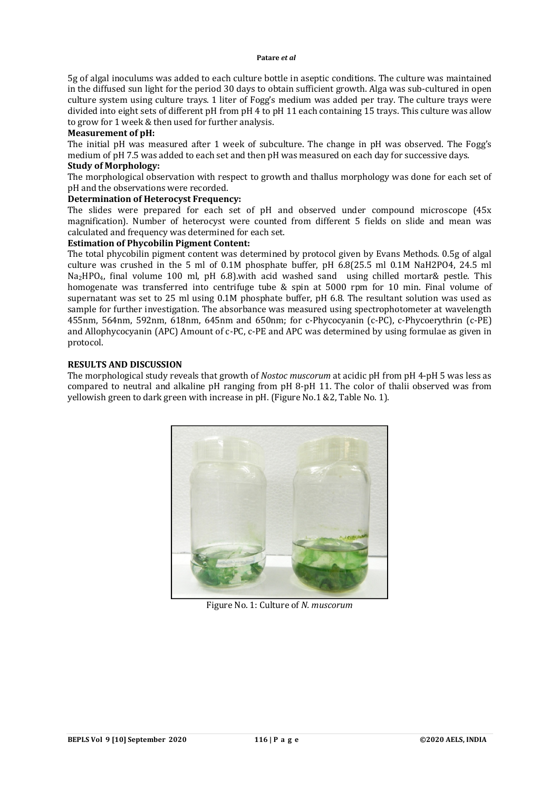5g of algal inoculums was added to each culture bottle in aseptic conditions. The culture was maintained in the diffused sun light for the period 30 days to obtain sufficient growth. Alga was sub-cultured in open culture system using culture trays. 1 liter of Fogg's medium was added per tray. The culture trays were divided into eight sets of different pH from pH 4 to pH 11 each containing 15 trays. This culture was allow to grow for 1 week & then used for further analysis.

# **Measurement of pH:**

The initial pH was measured after 1 week of subculture. The change in pH was observed. The Fogg's medium of pH 7.5 was added to each set and then pH was measured on each day for successive days. **Study of Morphology:**

# The morphological observation with respect to growth and thallus morphology was done for each set of pH and the observations were recorded.

### **Determination of Heterocyst Frequency:**

The slides were prepared for each set of pH and observed under compound microscope (45x magnification). Number of heterocyst were counted from different 5 fields on slide and mean was calculated and frequency was determined for each set.

# **Estimation of Phycobilin Pigment Content:**

The total phycobilin pigment content was determined by protocol given by Evans Methods. 0.5g of algal culture was crushed in the 5 ml of 0.1M phosphate buffer, pH 6.8(25.5 ml 0.1M NaH2PO4, 24.5 ml Na2HPO4, final volume 100 ml, pH 6.8).with acid washed sand using chilled mortar& pestle. This homogenate was transferred into centrifuge tube & spin at 5000 rpm for 10 min. Final volume of supernatant was set to 25 ml using 0.1M phosphate buffer, pH 6.8. The resultant solution was used as sample for further investigation. The absorbance was measured using spectrophotometer at wavelength 455nm, 564nm, 592nm, 618nm, 645nm and 650nm; for c-Phycocyanin (c-PC), c-Phycoerythrin (c-PE) and Allophycocyanin (APC) Amount of c-PC, c-PE and APC was determined by using formulae as given in protocol.

# **RESULTS AND DISCUSSION**

The morphological study reveals that growth of *Nostoc muscorum* at acidic pH from pH 4-pH 5 was less as compared to neutral and alkaline pH ranging from pH 8-pH 11. The color of thalii observed was from yellowish green to dark green with increase in pH. (Figure No.1 &2, Table No. 1).



Figure No. 1: Culture of *N. muscorum*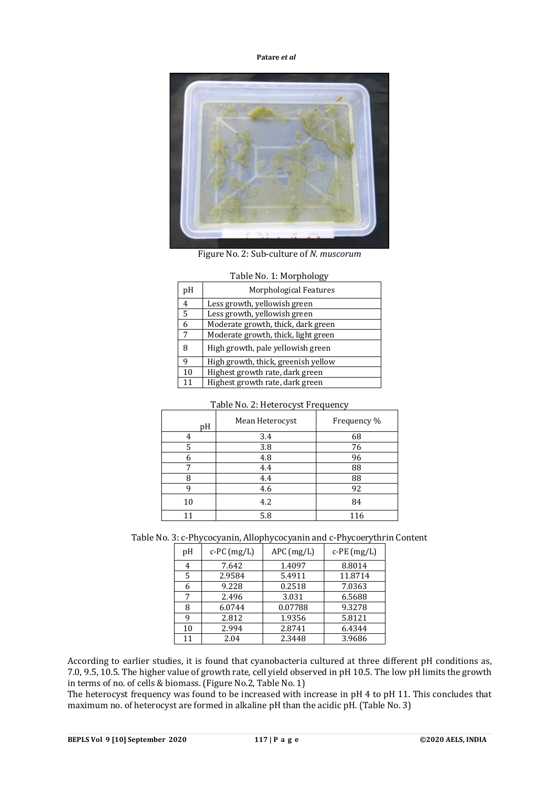**Patare** *et al*



Figure No. 2: Sub-culture of *N. muscorum*

| pH | Morphological Features              |
|----|-------------------------------------|
| 4  | Less growth, yellowish green        |
| 5  | Less growth, yellowish green        |
| 6  | Moderate growth, thick, dark green  |
| 7  | Moderate growth, thick, light green |
| 8  | High growth, pale yellowish green   |
| 9  | High growth, thick, greenish yellow |
| 10 | Highest growth rate, dark green     |
| 11 | Highest growth rate, dark green     |

# Table No. 1: Morphology

|    | ╯               | ╯           |
|----|-----------------|-------------|
| pH | Mean Heterocyst | Frequency % |
|    | 3.4             | 68          |
| 5  | 3.8             | 76          |
| 6  | 4.8             | 96          |
| 7  | 4.4             | 88          |
| Я  | 4.4             | 88          |
| q  | 4.6             | 92          |
| 10 | 4.2             | 84          |
|    | 5.8             | 116         |

# Table No. 2: Heterocyst Frequency

Table No. 3: c-Phycocyanin, Allophycocyanin and c-Phycoerythrin Content

| pH | $c$ -PC $(mg/L)$ | $APC$ (mg/L) | $c$ -PE $(mg/L)$ |
|----|------------------|--------------|------------------|
| 4  | 7.642            | 1.4097       | 8.8014           |
| 5  | 2.9584           | 5.4911       | 11.8714          |
| 6  | 9.228            | 0.2518       | 7.0363           |
| 7  | 2.496            | 3.031        | 6.5688           |
| 8  | 6.0744           | 0.07788      | 9.3278           |
| q  | 2.812            | 1.9356       | 5.8121           |
| 10 | 2.994            | 2.8741       | 6.4344           |
| 11 | 2.04             | 2.3448       | 3.9686           |

According to earlier studies, it is found that cyanobacteria cultured at three different pH conditions as, 7.0, 9.5, 10.5. The higher value of growth rate, cell yield observed in pH 10.5. The low pH limits the growth in terms of no. of cells & biomass. (Figure No.2, Table No. 1)

The heterocyst frequency was found to be increased with increase in pH 4 to pH 11. This concludes that maximum no. of heterocyst are formed in alkaline pH than the acidic pH. (Table No. 3)